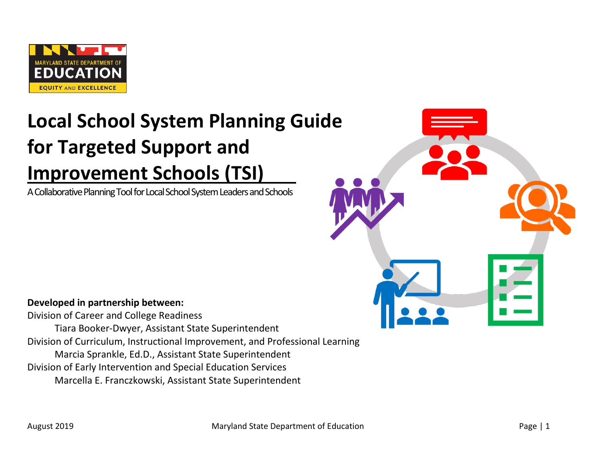

# **Local School System Planning Guide for Targeted Support and Improvement Schools (TSI)**\_\_\_

A Collaborative Planning Tool for Local School SystemLeaders and Schools



**Developed in partnership between:** 

Division of Career and College Readiness Tiara Booker-Dwyer, Assistant State Superintendent Division of Curriculum, Instructional Improvement, and Professional Learning Marcia Sprankle, Ed.D., Assistant State Superintendent Division of Early Intervention and Special Education Services Marcella E. Franczkowski, Assistant State Superintendent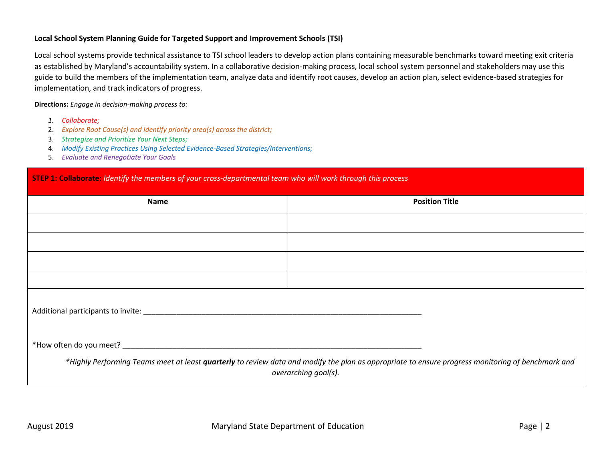#### **Local School System Planning Guide for Targeted Support and Improvement Schools (TSI)**

Local school systems provide technical assistance to TSI school leaders to develop action plans containing measurable benchmarks toward meeting exit criteria as established by Maryland's accountability system. In a collaborative decision-making process, local school system personnel and stakeholders may use this guide to build the members of the implementation team, analyze data and identify root causes, develop an action plan, select evidence-based strategies for implementation, and track indicators of progress.

**Directions:** *Engage in decision-making process to:*

- *1. Collaborate;*
- 2. *Explore Root Cause(s) and identify priority area(s) across the district;*
- 3. *Strategize and Prioritize Your Next Steps;*
- 4. *Modify Existing Practices Using Selected Evidence-Based Strategies/Interventions;*
- 5. *Evaluate and Renegotiate Your Goals*

#### **STEP 1: Collaborate**: *Identify the members of your cross-departmental team who will work through this process*

| <b>Name</b> | <b>Position Title</b>                                                                                                                                                     |  |  |
|-------------|---------------------------------------------------------------------------------------------------------------------------------------------------------------------------|--|--|
|             |                                                                                                                                                                           |  |  |
|             |                                                                                                                                                                           |  |  |
|             |                                                                                                                                                                           |  |  |
|             |                                                                                                                                                                           |  |  |
|             |                                                                                                                                                                           |  |  |
|             |                                                                                                                                                                           |  |  |
|             | *Highly Performing Teams meet at least quarterly to review data and modify the plan as appropriate to ensure progress monitoring of benchmark and<br>overarching goal(s). |  |  |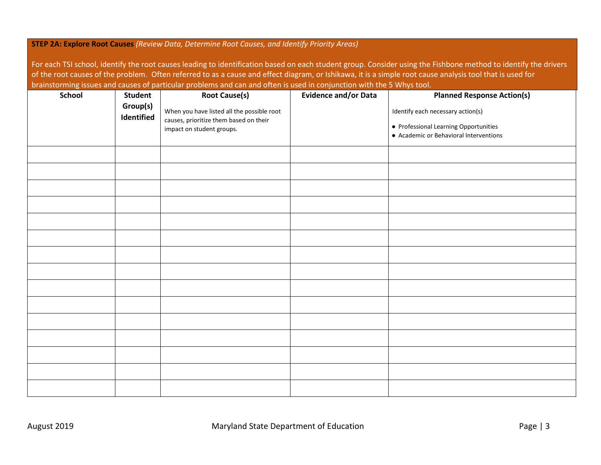#### **STEP 2A: Explore Root Causes** *(Review Data, Determine Root Causes, and Identify Priority Areas)*

For each TSI school, identify the root causes leading to identification based on each student group. Consider using the Fishbone method to identify the drivers of the root causes of the problem. Often referred to as a cause and effect diagram, or Ishikawa, it is a simple root cause analysis tool that is used for brainstorming issues and causes of particular problems and can and often is used in conjunction with the 5 Whys tool.

| School | Student                | <b>Root Cause(s)</b>                                                                                              | <b>Evidence and/or Data</b> | <b>Planned Response Action(s)</b>                                                                                    |
|--------|------------------------|-------------------------------------------------------------------------------------------------------------------|-----------------------------|----------------------------------------------------------------------------------------------------------------------|
|        | Group(s)<br>Identified | When you have listed all the possible root<br>causes, prioritize them based on their<br>impact on student groups. |                             | Identify each necessary action(s)<br>• Professional Learning Opportunities<br>• Academic or Behavioral Interventions |
|        |                        |                                                                                                                   |                             |                                                                                                                      |
|        |                        |                                                                                                                   |                             |                                                                                                                      |
|        |                        |                                                                                                                   |                             |                                                                                                                      |
|        |                        |                                                                                                                   |                             |                                                                                                                      |
|        |                        |                                                                                                                   |                             |                                                                                                                      |
|        |                        |                                                                                                                   |                             |                                                                                                                      |
|        |                        |                                                                                                                   |                             |                                                                                                                      |
|        |                        |                                                                                                                   |                             |                                                                                                                      |
|        |                        |                                                                                                                   |                             |                                                                                                                      |
|        |                        |                                                                                                                   |                             |                                                                                                                      |
|        |                        |                                                                                                                   |                             |                                                                                                                      |
|        |                        |                                                                                                                   |                             |                                                                                                                      |
|        |                        |                                                                                                                   |                             |                                                                                                                      |
|        |                        |                                                                                                                   |                             |                                                                                                                      |
|        |                        |                                                                                                                   |                             |                                                                                                                      |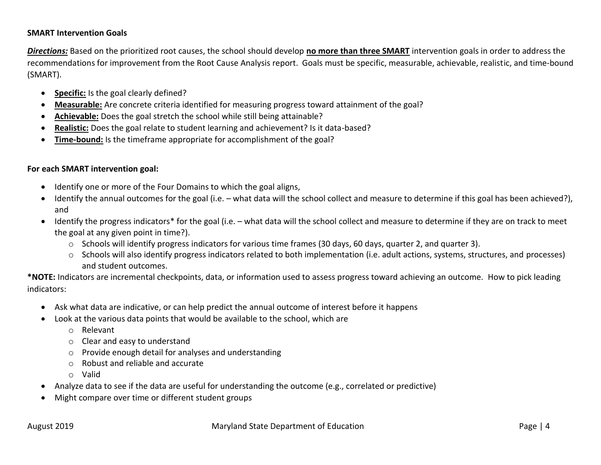## **SMART Intervention Goals**

*Directions:* Based on the prioritized root causes, the school should develop **no more than three SMART** intervention goals in order to address the recommendations for improvement from the Root Cause Analysis report. Goals must be specific, measurable, achievable, realistic, and time-bound (SMART).

- **Specific:** Is the goal clearly defined?
- **Measurable:** Are concrete criteria identified for measuring progress toward attainment of the goal?
- **Achievable:** Does the goal stretch the school while still being attainable?
- **Realistic:** Does the goal relate to student learning and achievement? Is it data-based?
- **Time-bound:** Is the timeframe appropriate for accomplishment of the goal?

### **For each SMART intervention goal:**

- Identify one or more of the Four Domains to which the goal aligns,
- Identify the annual outcomes for the goal (i.e. what data will the school collect and measure to determine if this goal has been achieved?), and
- Identify the progress indicators\* for the goal (i.e. what data will the school collect and measure to determine if they are on track to meet the goal at any given point in time?).
	- o Schools will identify progress indicators for various time frames (30 days, 60 days, quarter 2, and quarter 3).
	- o Schools will also identify progress indicators related to both implementation (i.e. adult actions, systems, structures, and processes) and student outcomes.

**\*NOTE:** Indicators are incremental checkpoints, data, or information used to assess progress toward achieving an outcome.How to pick leading indicators:

- Ask what data are indicative, or can help predict the annual outcome of interest before it happens
- Look at the various data points that would be available to the school, which are
	- o Relevant
	- o Clear and easy to understand
	- o Provide enough detail for analyses and understanding
	- o Robust and reliable and accurate
	- o Valid
- Analyze data to see if the data are useful for understanding the outcome (e.g., correlated or predictive)
- Might compare over time or different student groups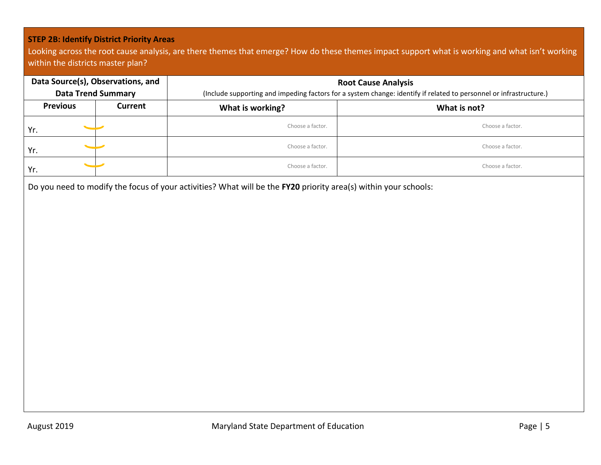## **STEP 2B: Identify District Priority Areas**

Looking across the root cause analysis, are there themes that emerge? How do these themes impact support what is working and what isn't working within the districts master plan?

| Data Source(s), Observations, and | <b>Data Trend Summary</b> | <b>Root Cause Analysis</b><br>(Include supporting and impeding factors for a system change: identify if related to personnel or infrastructure.) |                  |  |
|-----------------------------------|---------------------------|--------------------------------------------------------------------------------------------------------------------------------------------------|------------------|--|
| <b>Previous</b>                   | Current                   | What is working?<br>What is not?                                                                                                                 |                  |  |
| $\overline{\phantom{0}}$<br>Yr.   |                           | Choose a factor.                                                                                                                                 | Choose a factor. |  |
| $\overline{\phantom{a}}$<br>Yr.   |                           | Choose a factor.                                                                                                                                 | Choose a factor. |  |
| Yr.                               |                           | Choose a factor.                                                                                                                                 | Choose a factor. |  |

Do you need to modify the focus of your activities? What will be the **FY20** priority area(s) within your schools: